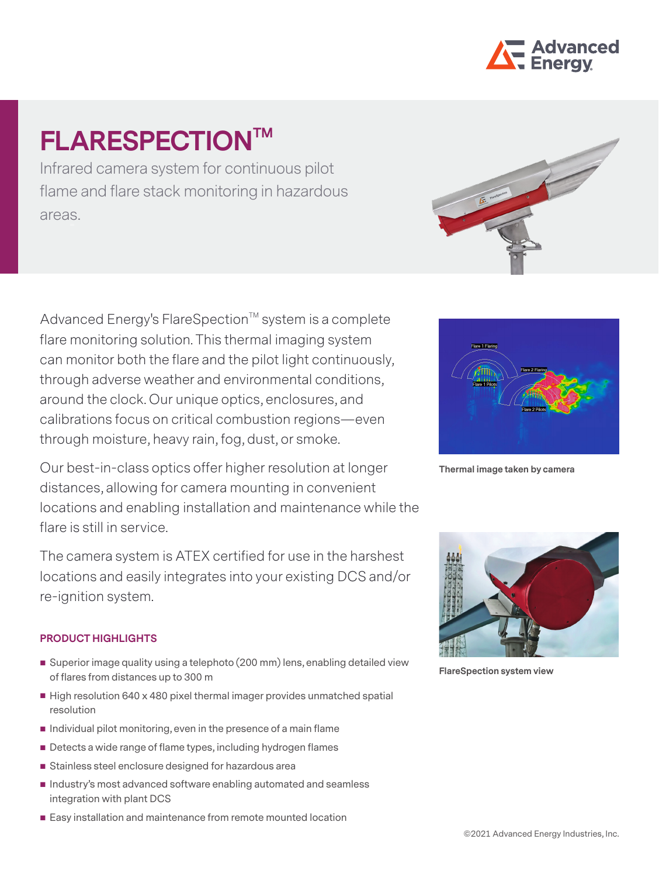

# **FLARESPECTIONTM**

Infrared camera system for continuous pilot flame and flare stack monitoring in hazardous areas.

Advanced Energy's FlareSpection™ system is a complete flare monitoring solution. This thermal imaging system can monitor both the flare and the pilot light continuously, through adverse weather and environmental conditions, around the clock. Our unique optics, enclosures, and calibrations focus on critical combustion regions—even through moisture, heavy rain, fog, dust, or smoke.

Our best-in-class optics offer higher resolution at longer distances, allowing for camera mounting in convenient locations and enabling installation and maintenance while the flare is still in service.

The camera system is ATEX certified for use in the harshest locations and easily integrates into your existing DCS and/or re-ignition system.

## **PRODUCT HIGHLIGHTS**

- Superior image quality using a telephoto (200 mm) lens, enabling detailed view of flares from distances up to 300 m
- High resolution 640 x 480 pixel thermal imager provides unmatched spatial resolution
- $\blacksquare$  Individual pilot monitoring, even in the presence of a main flame
- Detects a wide range of flame types, including hydrogen flames
- **Stainless steel enclosure designed for hazardous area**
- $\blacksquare$  Industry's most advanced software enabling automated and seamless integration with plant DCS
- Easy installation and maintenance from remote mounted location





**Thermal image taken by camera**



**FlareSpection system view**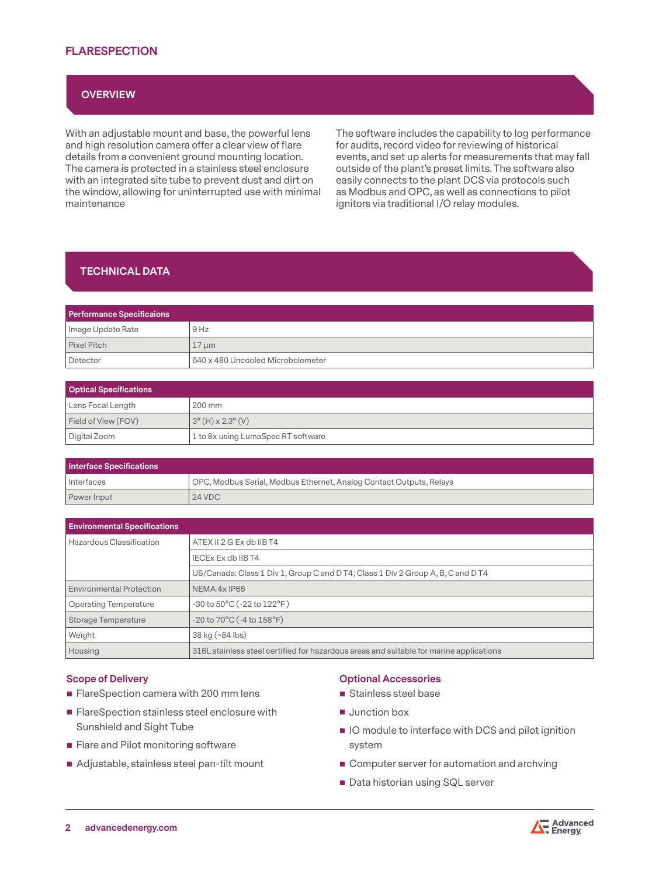## **FLARESPECTION**

## **OVERVIEW**

With an adjustable mount and base, the powerful lens and high resolution camera offer a clear view of flare details from a convenient ground mounting location. The camera is protected in a stainless steel enclosure with an integrated site tube to prevent dust and dirt on the window, allowing for uninterrupted use with minimal maintenance

The software includes the capability to log performance for audits, record video for reviewing of historical events, and set up alerts for measurements that may fall outside of the plant's preset limits. The software also easily connects to the plant DCS via protocols such as Modbus and OPC, as well as connections to pilot ignitors via traditional I/O relay modules.

## **TECHNICAL DATA**

| <b>Performance Specificaions</b> |                                   |  |
|----------------------------------|-----------------------------------|--|
| Image Update Rate                | 9 Hz                              |  |
| Pixel Pitch                      | $17 \mu m$                        |  |
| Detector                         | 640 x 480 Uncooled Microbolometer |  |

| <b>Optical Specifications</b> |                                    |  |
|-------------------------------|------------------------------------|--|
| Lens Focal Length             | 200 mm                             |  |
| Field of View (FOV)           | $3^{\circ}$ (H) x 2.3° (V)         |  |
| Digital Zoom                  | 1 to 8x using LumaSpec RT software |  |

| Interface Specifications |                                                                     |  |
|--------------------------|---------------------------------------------------------------------|--|
| I Interfaces             | OPC, Modbus Serial, Modbus Ethernet, Analog Contact Outputs, Relays |  |
| Power Input              | <b>24 VDC</b>                                                       |  |

| <b>Environmental Specifications</b> |                                                                                         |
|-------------------------------------|-----------------------------------------------------------------------------------------|
| Hazardous Classification            | ATEX II 2 G Ex db IIB T4                                                                |
|                                     | IECEX Ex db IIB T4                                                                      |
|                                     | US/Canada: Class 1 Div 1, Group C and D T4; Class 1 Div 2 Group A, B, C and D T4        |
| <b>Environmental Protection</b>     | NEMA 4x IP66                                                                            |
| <b>Operating Temperature</b>        | $-30$ to $50^{\circ}$ C ( $-22$ to $122^{\circ}$ F)                                     |
| Storage Temperature                 | $-20$ to $70^{\circ}$ C ( $-4$ to $158^{\circ}$ F)                                      |
| Weight                              | 38 kg (~84 lbs)                                                                         |
| Housing                             | 316L stainless steel certified for hazardous areas and suitable for marine applications |

#### **Scope of Delivery**

- FlareSpection camera with 200 mm lens
- **FlareSpection stainless steel enclosure with** Sunshield and Sight Tube
- **Flare and Pilot monitoring software**
- Adjustable, stainless steel pan-tilt mount

#### **Optional Accessories**

- Stainless steel base
- **Junction box**
- $\blacksquare$  IO module to interface with DCS and pilot ignition system
- Computer server for automation and archving
- Data historian using SQL server

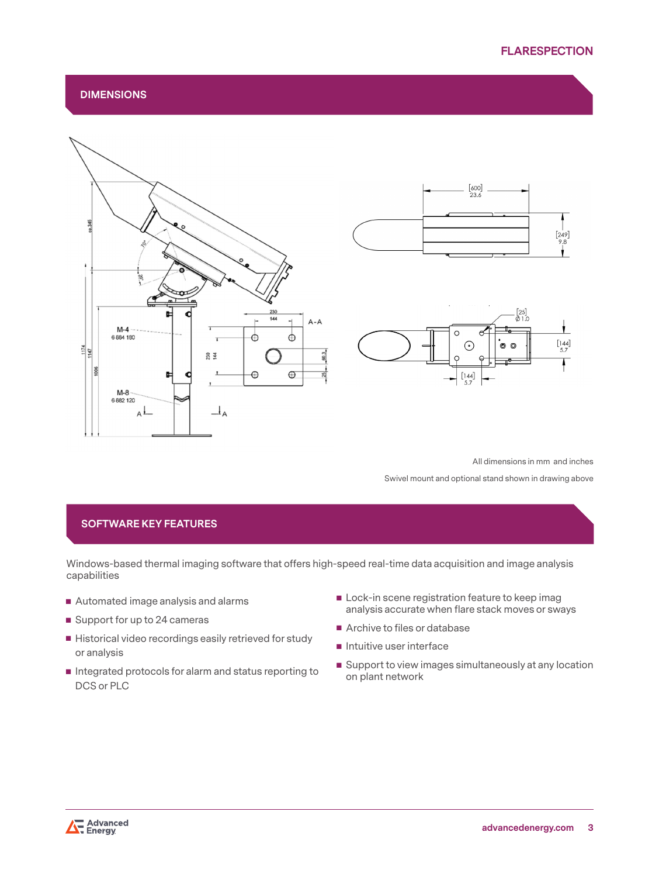$[249]$  $9.8$ 

 $\begin{bmatrix} 144 \\ 5.7 \end{bmatrix}$ 

T

## **DIMENSIONS**



All dimensions in mm and inches

Swivel mount and optional stand shown in drawing above

## **SOFTWARE KEY FEATURES**

Windows-based thermal imaging software that offers high-speed real-time data acquisition and image analysis capabilities

- Automated image analysis and alarms
- Support for up to 24 cameras
- Historical video recordings easily retrieved for study or analysis
- Integrated protocols for alarm and status reporting to DCS or PLC
- Lock-in scene registration feature to keep imag analysis accurate when flare stack moves or sways
- Archive to files or database
- $\blacksquare$  Intuitive user interface
- Support to view images simultaneously at any location on plant network